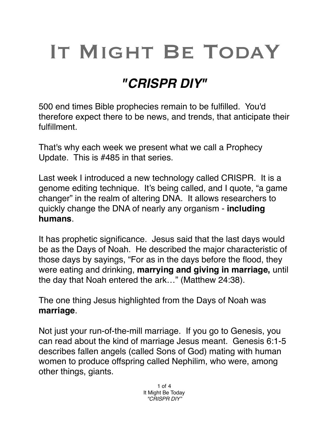## IT MIGHT BE TODAY

## *"CRISPR DIY"*

500 end times Bible prophecies remain to be fulfilled. You'd therefore expect there to be news, and trends, that anticipate their fulfillment.

That's why each week we present what we call a Prophecy Update. This is #485 in that series.

Last week I introduced a new technology called CRISPR. It is a genome editing technique. It's being called, and I quote, "a game changer" in the realm of altering DNA. It allows researchers to quickly change the DNA of nearly any organism - **including humans**.

It has prophetic significance. Jesus said that the last days would be as the Days of Noah. He described the major characteristic of those days by sayings, "For as in the days before the flood, they were eating and drinking, **marrying and giving in marriage,** until the day that Noah entered the ark…" (Matthew 24:38).

The one thing Jesus highlighted from the Days of Noah was **marriage**.

Not just your run-of-the-mill marriage. If you go to Genesis, you can read about the kind of marriage Jesus meant. Genesis 6:1-5 describes fallen angels (called Sons of God) mating with human women to produce offspring called Nephilim, who were, among other things, giants.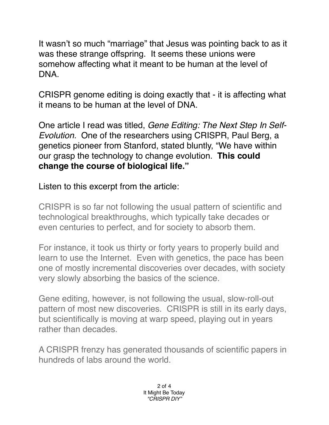It wasn't so much "marriage" that Jesus was pointing back to as it was these strange offspring. It seems these unions were somehow affecting what it meant to be human at the level of DNA.

CRISPR genome editing is doing exactly that - it is affecting what it means to be human at the level of DNA.

One article I read was titled, *Gene Editing: The Next Step In Self-Evolution.* One of the researchers using CRISPR, Paul Berg, a genetics pioneer from Stanford, stated bluntly, "We have within our grasp the technology to change evolution. **This could change the course of biological life."**

Listen to this excerpt from the article:

CRISPR is so far not following the usual pattern of scientific and technological breakthroughs, which typically take decades or even centuries to perfect, and for society to absorb them.

For instance, it took us thirty or forty years to properly build and learn to use the Internet. Even with genetics, the pace has been one of mostly incremental discoveries over decades, with society very slowly absorbing the basics of the science.

Gene editing, however, is not following the usual, slow-roll-out pattern of most new discoveries. CRISPR is still in its early days, but scientifically is moving at warp speed, playing out in years rather than decades.

A CRISPR frenzy has generated thousands of scientific papers in hundreds of labs around the world.

> 2 of 4 It Might Be Today *"CRISPR DIY"*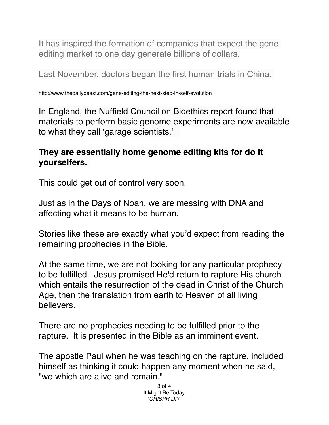It has inspired the formation of companies that expect the gene editing market to one day generate billions of dollars.

Last November, doctors began the first human trials in China.

<http://www.thedailybeast.com/gene-editing-the-next-step-in-self-evolution>

In England, the Nuffield Council on Bioethics report found that materials to perform basic genome experiments are now available to what they call 'garage scientists.'

## **They are essentially home genome editing kits for do it yourselfers.**

This could get out of control very soon.

Just as in the Days of Noah, we are messing with DNA and affecting what it means to be human.

Stories like these are exactly what you'd expect from reading the remaining prophecies in the Bible.

At the same time, we are not looking for any particular prophecy to be fulfilled. Jesus promised He'd return to rapture His church which entails the resurrection of the dead in Christ of the Church Age, then the translation from earth to Heaven of all living believers.

There are no prophecies needing to be fulfilled prior to the rapture. It is presented in the Bible as an imminent event.

The apostle Paul when he was teaching on the rapture, included himself as thinking it could happen any moment when he said, "we which are alive and remain."